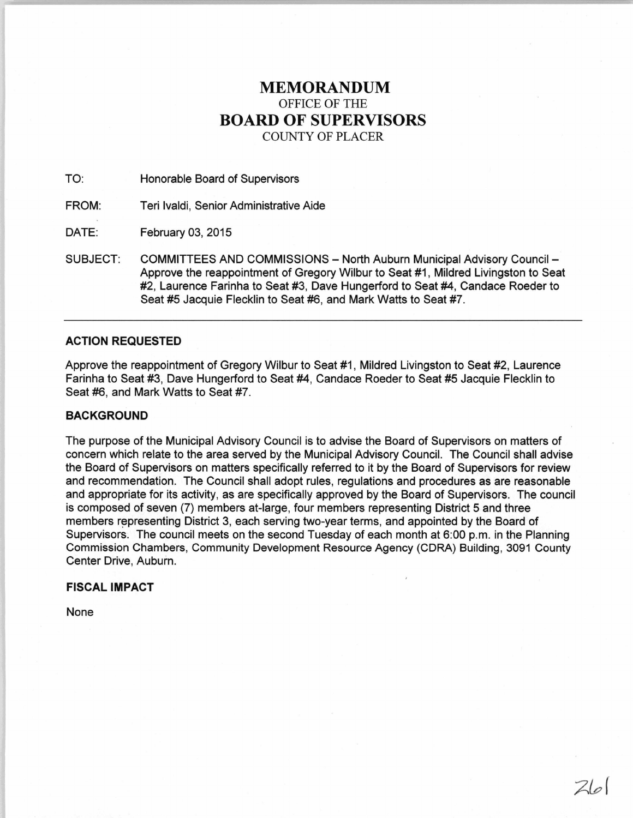# **MEMORANDUM**  OFFICE OF THE **BOARD OF SUPERVISORS**  COUNTY OF PLACER

TO: Honorable Board of Supervisors

FROM: Teri lvaldi, Senior Administrative Aide

DATE: February 03, 2015

SUBJECT: COMMITTEES AND COMMISSIONS - North Auburn Municipal Advisory Council -Approve the reappointment of Gregory Wilbur to Seat #1, Mildred Livingston to Seat #2, Laurence Farinha to Seat #3, Dave Hungerford to Seat #4, Candace Roeder to Seat #5 Jacquie Flecklin to Seat #6, and Mark Watts to Seat #7.

## **ACTION REQUESTED**

Approve the reappointment of Gregory Wilbur to Seat #1, Mildred Livingston to Seat #2, Laurence Farinha to Seat #3, Dave Hungerford to Seat #4, Candace Roeder to Seat #5 Jacquie Flecklin to Seat #6, and Mark Watts to Seat #7.

## **BACKGROUND**

The purpose of the Municipal Advisory Council is to advise the Board of Supervisors on matters of concern which relate to the area served by the Municipal Advisory Council. The Council shall advise the Board of Supervisors on matters specifically referred to it by the Board of Supervisors for review and recommendation. The Council shall adopt rules, regulations and procedures as are reasonable and appropriate for its activity, as are specifically approved by the Board of Supervisors. The council is composed of seven (7) members at-large, four members representing District 5 and three members representing District 3, each serving two-year terms, and appointed by the Board of Supervisors. The council meets on the second Tuesday of each month at 6:00 p.m. in the Planning Commission Chambers, Community Development Resource Agency (CORA) Building, 3091 County Center Drive, Auburn.

# **FISCAL IMPACT**

None